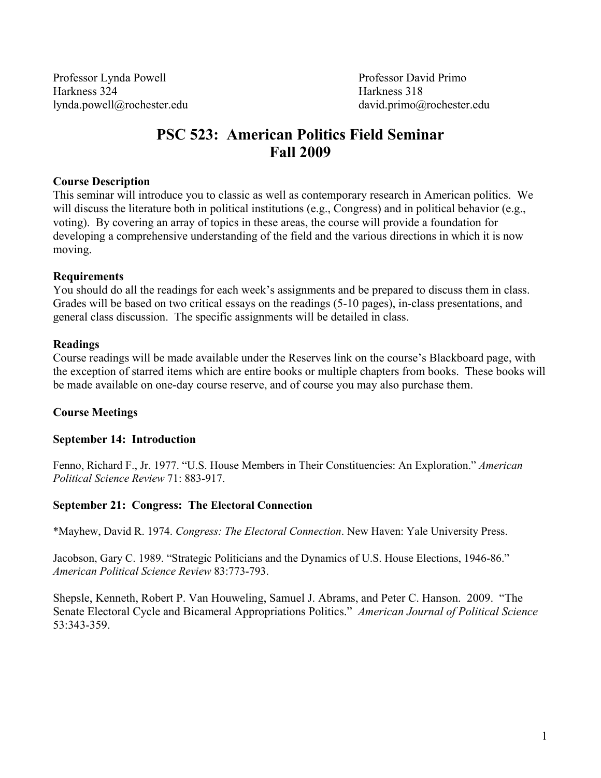Professor Lynda Powell Professor David Primo Harkness 324 Harkness 318 lynda.powell@rochester.edu david.primo@rochester.edu

# **PSC 523: American Politics Field Seminar Fall 2009**

## **Course Description**

This seminar will introduce you to classic as well as contemporary research in American politics. We will discuss the literature both in political institutions (e.g., Congress) and in political behavior (e.g., voting). By covering an array of topics in these areas, the course will provide a foundation for developing a comprehensive understanding of the field and the various directions in which it is now moving.

#### **Requirements**

You should do all the readings for each week's assignments and be prepared to discuss them in class. Grades will be based on two critical essays on the readings (5-10 pages), in-class presentations, and general class discussion. The specific assignments will be detailed in class.

#### **Readings**

Course readings will be made available under the Reserves link on the course's Blackboard page, with the exception of starred items which are entire books or multiple chapters from books. These books will be made available on one-day course reserve, and of course you may also purchase them.

## **Course Meetings**

#### **September 14: Introduction**

Fenno, Richard F., Jr. 1977. "U.S. House Members in Their Constituencies: An Exploration." *American Political Science Review* 71: 883-917.

## **September 21: Congress: The Electoral Connection**

\*Mayhew, David R. 1974. *Congress: The Electoral Connection*. New Haven: Yale University Press.

Jacobson, Gary C. 1989. "Strategic Politicians and the Dynamics of U.S. House Elections, 1946-86." *American Political Science Review* 83:773-793.

Shepsle, Kenneth, Robert P. Van Houweling, Samuel J. Abrams, and Peter C. Hanson. 2009. "The Senate Electoral Cycle and Bicameral Appropriations Politics." *American Journal of Political Science* 53:343-359.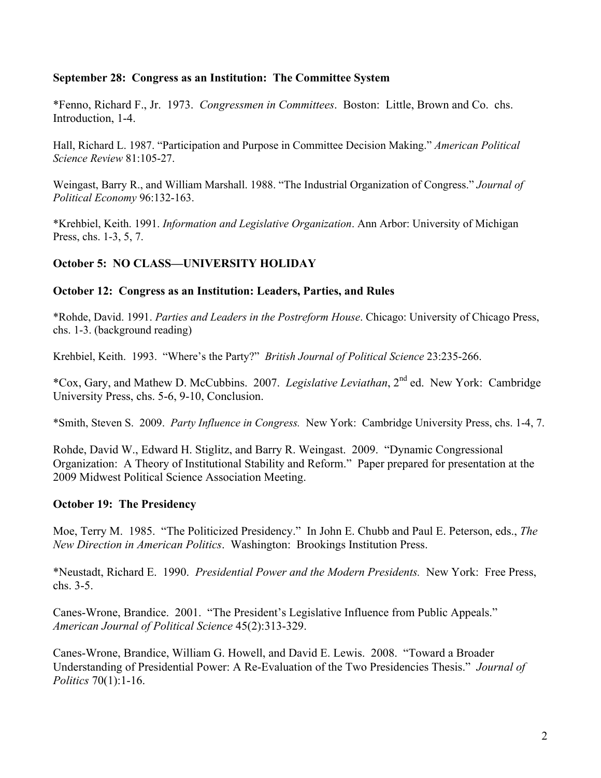# **September 28: Congress as an Institution: The Committee System**

\*Fenno, Richard F., Jr. 1973. *Congressmen in Committees*. Boston: Little, Brown and Co. chs. Introduction, 1-4.

Hall, Richard L. 1987. "Participation and Purpose in Committee Decision Making." *American Political Science Review* 81:105-27.

Weingast, Barry R., and William Marshall. 1988. "The Industrial Organization of Congress." *Journal of Political Economy* 96:132-163.

\*Krehbiel, Keith. 1991. *Information and Legislative Organization*. Ann Arbor: University of Michigan Press, chs. 1-3, 5, 7.

# **October 5: NO CLASS—UNIVERSITY HOLIDAY**

# **October 12: Congress as an Institution: Leaders, Parties, and Rules**

\*Rohde, David. 1991. *Parties and Leaders in the Postreform House*. Chicago: University of Chicago Press, chs. 1-3. (background reading)

Krehbiel, Keith. 1993. "Where's the Party?" *British Journal of Political Science* 23:235-266.

\*Cox, Gary, and Mathew D. McCubbins. 2007. *Legislative Leviathan*, 2nd ed. New York: Cambridge University Press, chs. 5-6, 9-10, Conclusion.

\*Smith, Steven S. 2009. *Party Influence in Congress.* New York: Cambridge University Press, chs. 1-4, 7.

Rohde, David W., Edward H. Stiglitz, and Barry R. Weingast. 2009. "Dynamic Congressional Organization: A Theory of Institutional Stability and Reform." Paper prepared for presentation at the 2009 Midwest Political Science Association Meeting.

# **October 19: The Presidency**

Moe, Terry M. 1985. "The Politicized Presidency." In John E. Chubb and Paul E. Peterson, eds., *The New Direction in American Politics*. Washington: Brookings Institution Press.

\*Neustadt, Richard E. 1990. *Presidential Power and the Modern Presidents.* New York: Free Press, chs. 3-5.

Canes-Wrone, Brandice. 2001. "The President's Legislative Influence from Public Appeals." *American Journal of Political Science* 45(2):313-329.

Canes-Wrone, Brandice, William G. Howell, and David E. Lewis. 2008. "Toward a Broader Understanding of Presidential Power: A Re-Evaluation of the Two Presidencies Thesis." *Journal of Politics* 70(1):1-16.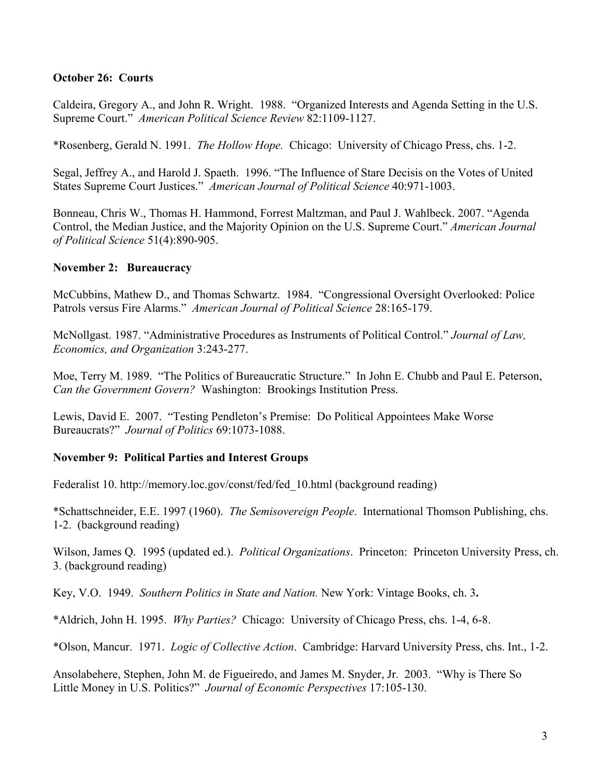# **October 26: Courts**

Caldeira, Gregory A., and John R. Wright. 1988. "Organized Interests and Agenda Setting in the U.S. Supreme Court." *American Political Science Review* 82:1109-1127.

\*Rosenberg, Gerald N. 1991. *The Hollow Hope.* Chicago: University of Chicago Press, chs. 1-2.

Segal, Jeffrey A., and Harold J. Spaeth. 1996. "The Influence of Stare Decisis on the Votes of United States Supreme Court Justices." *American Journal of Political Science* 40:971-1003.

Bonneau, Chris W., Thomas H. Hammond, Forrest Maltzman, and Paul J. Wahlbeck. 2007. "Agenda Control, the Median Justice, and the Majority Opinion on the U.S. Supreme Court." *American Journal of Political Science* 51(4):890-905.

## **November 2: Bureaucracy**

McCubbins, Mathew D., and Thomas Schwartz. 1984. "Congressional Oversight Overlooked: Police Patrols versus Fire Alarms." *American Journal of Political Science* 28:165-179.

McNollgast. 1987. "Administrative Procedures as Instruments of Political Control." *Journal of Law, Economics, and Organization* 3:243-277.

Moe, Terry M. 1989. "The Politics of Bureaucratic Structure." In John E. Chubb and Paul E. Peterson, *Can the Government Govern?* Washington: Brookings Institution Press.

Lewis, David E. 2007. "Testing Pendleton's Premise: Do Political Appointees Make Worse Bureaucrats?" *Journal of Politics* 69:1073-1088.

## **November 9: Political Parties and Interest Groups**

Federalist 10. http://memory.loc.gov/const/fed/fed\_10.html (background reading)

\*Schattschneider, E.E. 1997 (1960). *The Semisovereign People*. International Thomson Publishing, chs. 1-2. (background reading)

Wilson, James Q. 1995 (updated ed.). *Political Organizations*. Princeton: Princeton University Press, ch. 3. (background reading)

Key, V.O. 1949. *Southern Politics in State and Nation.* New York: Vintage Books, ch. 3**.** 

\*Aldrich, John H. 1995. *Why Parties?* Chicago: University of Chicago Press, chs. 1-4, 6-8.

\*Olson, Mancur. 1971. *Logic of Collective Action*. Cambridge: Harvard University Press, chs. Int., 1-2.

Ansolabehere, Stephen, John M. de Figueiredo, and James M. Snyder, Jr. 2003. "Why is There So Little Money in U.S. Politics?" *Journal of Economic Perspectives* 17:105-130.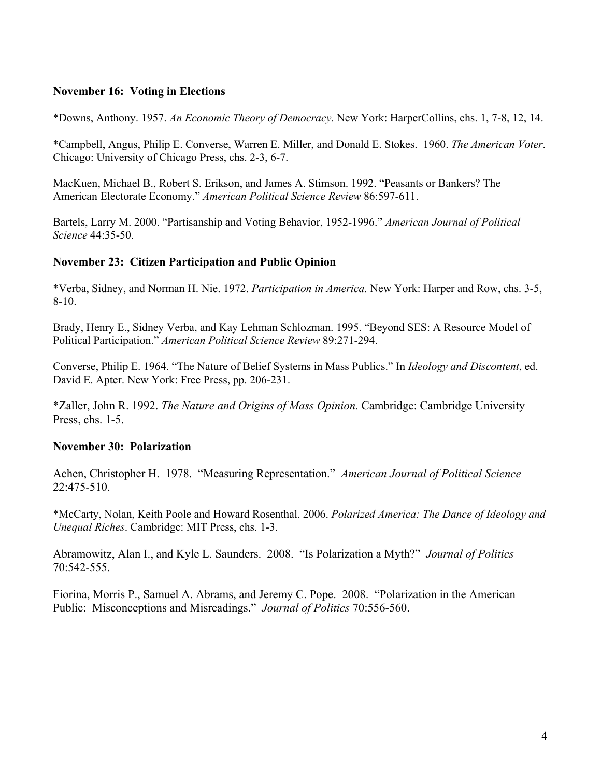# **November 16: Voting in Elections**

\*Downs, Anthony. 1957. *An Economic Theory of Democracy.* New York: HarperCollins, chs. 1, 7-8, 12, 14.

\*Campbell, Angus, Philip E. Converse, Warren E. Miller, and Donald E. Stokes. 1960. *The American Voter*. Chicago: University of Chicago Press, chs. 2-3, 6-7.

MacKuen, Michael B., Robert S. Erikson, and James A. Stimson. 1992. "Peasants or Bankers? The American Electorate Economy." *American Political Science Review* 86:597-611.

Bartels, Larry M. 2000. "Partisanship and Voting Behavior, 1952-1996." *American Journal of Political Science* 44:35-50.

# **November 23: Citizen Participation and Public Opinion**

\*Verba, Sidney, and Norman H. Nie. 1972. *Participation in America.* New York: Harper and Row, chs. 3-5, 8-10.

Brady, Henry E., Sidney Verba, and Kay Lehman Schlozman. 1995. "Beyond SES: A Resource Model of Political Participation." *American Political Science Review* 89:271-294.

Converse, Philip E. 1964. "The Nature of Belief Systems in Mass Publics." In *Ideology and Discontent*, ed. David E. Apter. New York: Free Press, pp. 206-231.

\*Zaller, John R. 1992. *The Nature and Origins of Mass Opinion.* Cambridge: Cambridge University Press, chs. 1-5.

## **November 30: Polarization**

Achen, Christopher H. 1978. "Measuring Representation." *American Journal of Political Science* 22:475-510.

\*McCarty, Nolan, Keith Poole and Howard Rosenthal. 2006. *Polarized America: The Dance of Ideology and Unequal Riches*. Cambridge: MIT Press, chs. 1-3.

Abramowitz, Alan I., and Kyle L. Saunders. 2008. "Is Polarization a Myth?" *Journal of Politics*  70:542-555.

Fiorina, Morris P., Samuel A. Abrams, and Jeremy C. Pope. 2008. "Polarization in the American Public: Misconceptions and Misreadings." *Journal of Politics* 70:556-560.